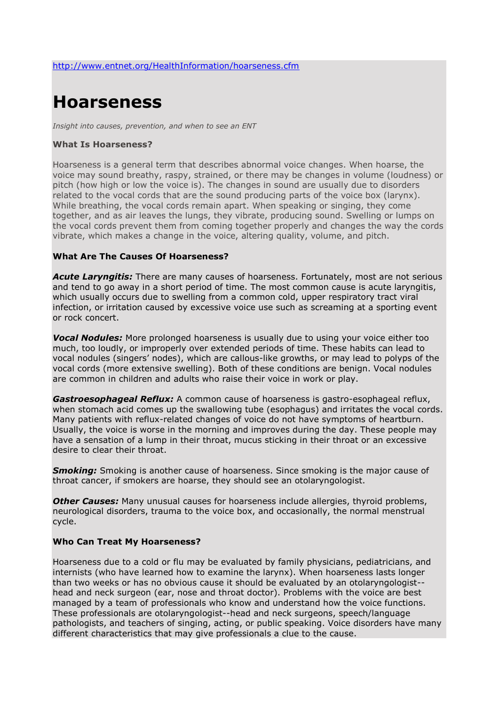# **Hoarseness**

*Insight into causes, prevention, and when to see an ENT*

#### **What Is Hoarseness?**

Hoarseness is a general term that describes abnormal voice changes. When hoarse, the voice may sound breathy, raspy, strained, or there may be changes in volume (loudness) or pitch (how high or low the voice is). The changes in sound are usually due to disorders related to the vocal cords that are the sound producing parts of the voice box (larynx). While breathing, the vocal cords remain apart. When speaking or singing, they come together, and as air leaves the lungs, they vibrate, producing sound. Swelling or lumps on the vocal cords prevent them from coming together properly and changes the way the cords vibrate, which makes a change in the voice, altering quality, volume, and pitch.

### **What Are The Causes Of Hoarseness?**

*Acute Laryngitis:* There are many causes of hoarseness. Fortunately, most are not serious and tend to go away in a short period of time. The most common cause is acute laryngitis, which usually occurs due to swelling from a common cold, upper respiratory tract viral infection, or irritation caused by excessive voice use such as screaming at a sporting event or rock concert.

*Vocal Nodules:* More prolonged hoarseness is usually due to using your voice either too much, too loudly, or improperly over extended periods of time. These habits can lead to vocal nodules (singers' nodes), which are callous-like growths, or may lead to polyps of the vocal cords (more extensive swelling). Both of these conditions are benign. Vocal nodules are common in children and adults who raise their voice in work or play.

*Gastroesophageal Reflux:* A common cause of hoarseness is gastro-esophageal reflux, when stomach acid comes up the swallowing tube (esophagus) and irritates the vocal cords. Many patients with reflux-related changes of voice do not have symptoms of heartburn. Usually, the voice is worse in the morning and improves during the day. These people may have a sensation of a lump in their throat, mucus sticking in their throat or an excessive desire to clear their throat.

*Smoking:* Smoking is another cause of hoarseness. Since smoking is the major cause of throat cancer, if smokers are hoarse, they should see an otolaryngologist.

**Other Causes:** Many unusual causes for hoarseness include allergies, thyroid problems, neurological disorders, trauma to the voice box, and occasionally, the normal menstrual cycle.

### **Who Can Treat My Hoarseness?**

Hoarseness due to a cold or flu may be evaluated by family physicians, pediatricians, and internists (who have learned how to examine the larynx). When hoarseness lasts longer than two weeks or has no obvious cause it should be evaluated by an otolaryngologist- head and neck surgeon (ear, nose and throat doctor). Problems with the voice are best managed by a team of professionals who know and understand how the voice functions. These professionals are otolaryngologist--head and neck surgeons, speech/language pathologists, and teachers of singing, acting, or public speaking. Voice disorders have many different characteristics that may give professionals a clue to the cause.